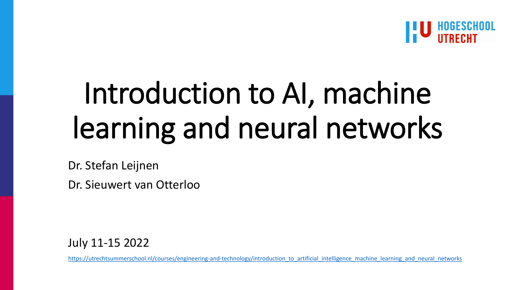

# Introduction to AI, machine learning and neural networks

Dr. Stefan Leijnen

Dr. Sieuwert van Otterloo

July 11-15 2022

[https://utrechtsummerschool.nl/courses/engineering-and-technology/introduction\\_to\\_artificial\\_intelligence\\_machine\\_learning\\_and\\_neural\\_networks](https://utrechtsummerschool.nl/courses/engineering-and-technology/introduction_to_artificial_intelligence_machine_learning_and_neural_networks)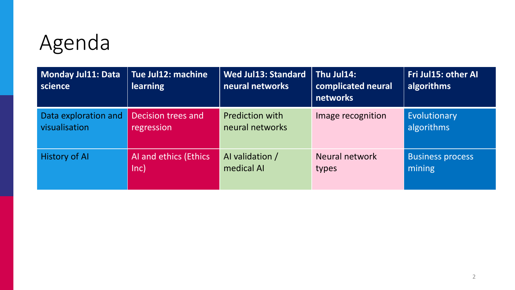# Agenda

| <b>Monday Jul11: Data</b><br>science | Tue Jul12: machine<br><b>learning</b> | <b>Wed Jul13: Standard</b><br>neural networks | Thu Jul14:<br>complicated neural<br>networks | Fri Jul15: other AI<br>algorithms |
|--------------------------------------|---------------------------------------|-----------------------------------------------|----------------------------------------------|-----------------------------------|
| Data exploration and                 | Decision trees and                    | <b>Prediction with</b>                        | Image recognition                            | Evolutionary                      |
| visualisation                        | regression                            | neural networks                               |                                              | algorithms                        |
| <b>History of Al</b>                 | AI and ethics (Ethics                 | Al validation /                               | Neural network                               | <b>Business process</b>           |
|                                      | $ nc\rangle$                          | medical AI                                    | types                                        | mining                            |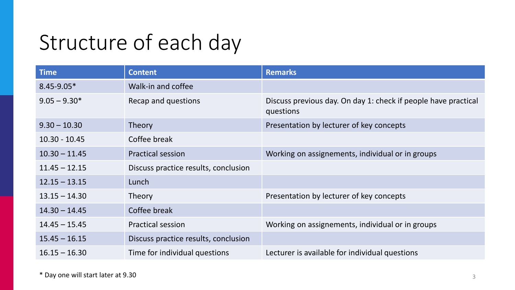### Structure of each day

| <b>Time</b>     | <b>Content</b>                       | <b>Remarks</b>                                                              |
|-----------------|--------------------------------------|-----------------------------------------------------------------------------|
| $8.45 - 9.05*$  | Walk-in and coffee                   |                                                                             |
| $9.05 - 9.30*$  | Recap and questions                  | Discuss previous day. On day 1: check if people have practical<br>questions |
| $9.30 - 10.30$  | <b>Theory</b>                        | Presentation by lecturer of key concepts                                    |
| $10.30 - 10.45$ | Coffee break                         |                                                                             |
| $10.30 - 11.45$ | <b>Practical session</b>             | Working on assignements, individual or in groups                            |
| $11.45 - 12.15$ | Discuss practice results, conclusion |                                                                             |
| $12.15 - 13.15$ | Lunch                                |                                                                             |
| $13.15 - 14.30$ | <b>Theory</b>                        | Presentation by lecturer of key concepts                                    |
| $14.30 - 14.45$ | Coffee break                         |                                                                             |
| $14.45 - 15.45$ | <b>Practical session</b>             | Working on assignements, individual or in groups                            |
| $15.45 - 16.15$ | Discuss practice results, conclusion |                                                                             |
| $16.15 - 16.30$ | Time for individual questions        | Lecturer is available for individual questions                              |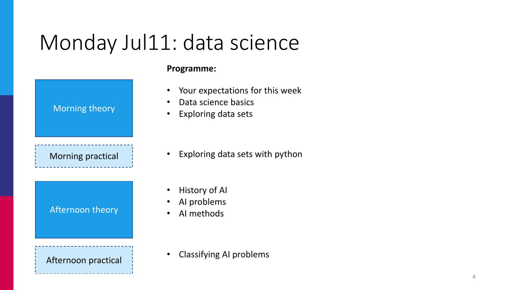### Monday Jul11: data science

| <b>Morning theory</b>    |  |
|--------------------------|--|
| <b>Morning practical</b> |  |
| Afternoon theory         |  |
| Afternoon practical      |  |

#### **Programme:**

- Your expectations for this week
- Data science basics
- Exploring data sets

- Exploring data sets with python
- **History of AI**
- AI problems
- AI methods

• Classifying AI problems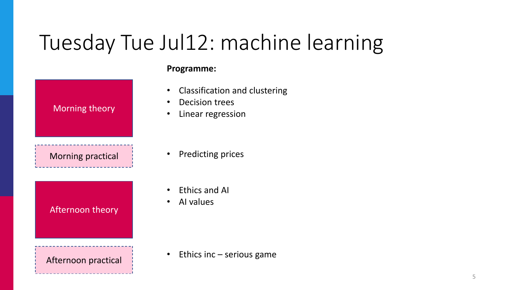# Tuesday Tue Jul12: machine learning

| <b>Morning theory</b>    |  |
|--------------------------|--|
| <b>Morning practical</b> |  |
| Afternoon theory         |  |
| Afternoon practical      |  |

#### **Programme:**

- Classification and clustering
- Decision trees
- Linear regression

- Predicting prices
- Ethics and AI
- AI values

• Ethics inc – serious game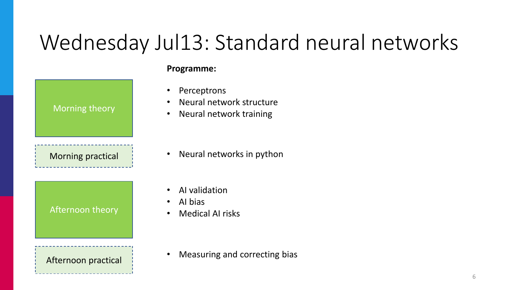# Wednesday Jul13: Standard neural networks

| <b>Morning theory</b>    |  |
|--------------------------|--|
| <b>Morning practical</b> |  |
| Afternoon theory         |  |
| Afternoon practical      |  |

#### **Programme:**

- **Perceptrons**
- Neural network structure
- Neural network training

- Neural networks in python
- AI validation
- AI bias
- Medical AI risks

• Measuring and correcting bias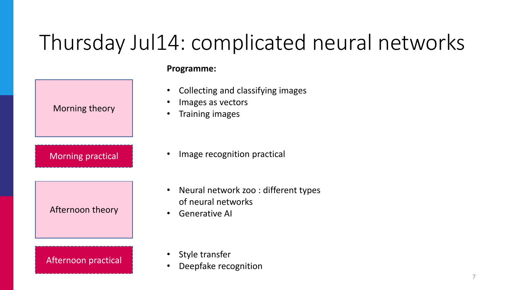# Thursday Jul14: complicated neural networks

|                            | ГІУ |
|----------------------------|-----|
| Morning theory             |     |
| <b>Morning practical</b>   |     |
| Afternoon theory           |     |
| <b>Afternoon practical</b> |     |

#### **Programme:**

- Collecting and classifying images
- Images as vectors
- Training images

- Image recognition practical
- Neural network zoo : different types of neural networks
- Generative AI

- Style transfer
- Deepfake recognition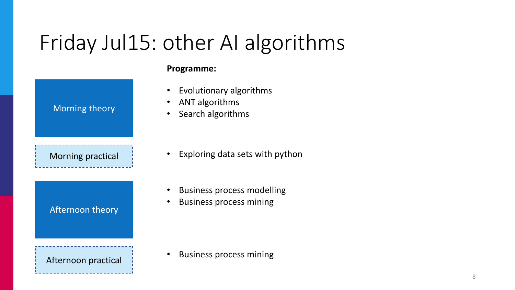# Friday Jul15: other AI algorithms

| <b>Morning theory</b>    |  |
|--------------------------|--|
| <b>Morning practical</b> |  |
| Afternoon theory         |  |
| Afternoon practical      |  |

#### **Programme:**

- Evolutionary algorithms
- ANT algorithms
- Search algorithms

- Exploring data sets with python
- Business process modelling
- Business process mining

• Business process mining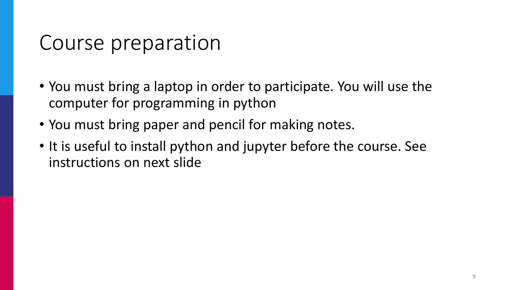### Course preparation

- You must bring a laptop in order to participate. You will use the computer for programming in python
- You must bring paper and pencil for making notes.
- It is useful to install python and jupyter before the course. See instructions on next slide